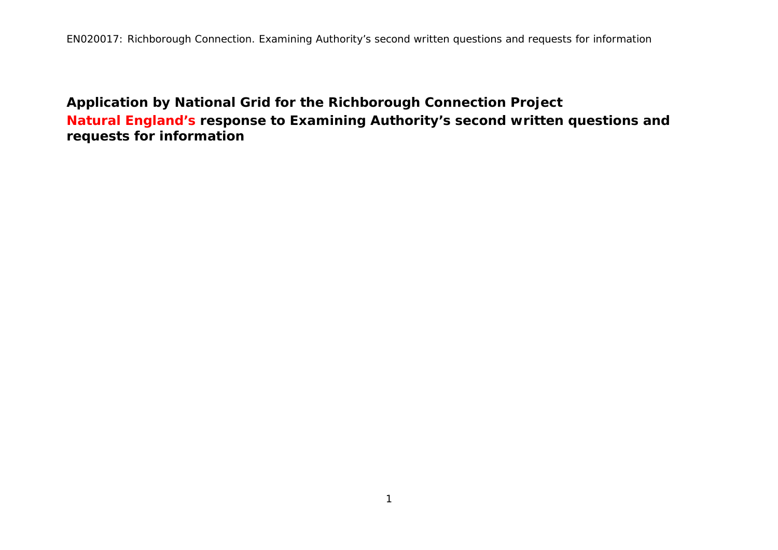**Application by National Grid for the Richborough Connection Project Natural England's response to Examining Authority's second written questions and requests for information**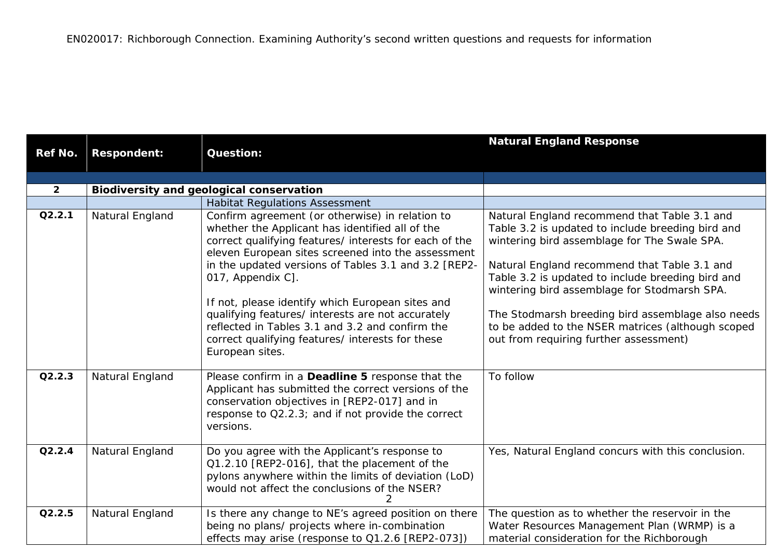|                |                    |                                                                                                                                                                                                                                                                                                                                                                                                                                                                                                                                    | <b>Natural England Response</b>                                                                                                                                                                                                                                                                                                                                                                                                                            |
|----------------|--------------------|------------------------------------------------------------------------------------------------------------------------------------------------------------------------------------------------------------------------------------------------------------------------------------------------------------------------------------------------------------------------------------------------------------------------------------------------------------------------------------------------------------------------------------|------------------------------------------------------------------------------------------------------------------------------------------------------------------------------------------------------------------------------------------------------------------------------------------------------------------------------------------------------------------------------------------------------------------------------------------------------------|
| <b>Ref No.</b> | <b>Respondent:</b> | <b>Question:</b>                                                                                                                                                                                                                                                                                                                                                                                                                                                                                                                   |                                                                                                                                                                                                                                                                                                                                                                                                                                                            |
|                |                    |                                                                                                                                                                                                                                                                                                                                                                                                                                                                                                                                    |                                                                                                                                                                                                                                                                                                                                                                                                                                                            |
| $\mathbf{2}$   |                    | <b>Biodiversity and geological conservation</b>                                                                                                                                                                                                                                                                                                                                                                                                                                                                                    |                                                                                                                                                                                                                                                                                                                                                                                                                                                            |
|                |                    | <b>Habitat Regulations Assessment</b>                                                                                                                                                                                                                                                                                                                                                                                                                                                                                              |                                                                                                                                                                                                                                                                                                                                                                                                                                                            |
| Q2.2.1         | Natural England    | Confirm agreement (or otherwise) in relation to<br>whether the Applicant has identified all of the<br>correct qualifying features/ interests for each of the<br>eleven European sites screened into the assessment<br>in the updated versions of Tables 3.1 and 3.2 [REP2-<br>017, Appendix C].<br>If not, please identify which European sites and<br>qualifying features/ interests are not accurately<br>reflected in Tables 3.1 and 3.2 and confirm the<br>correct qualifying features/ interests for these<br>European sites. | Natural England recommend that Table 3.1 and<br>Table 3.2 is updated to include breeding bird and<br>wintering bird assemblage for The Swale SPA.<br>Natural England recommend that Table 3.1 and<br>Table 3.2 is updated to include breeding bird and<br>wintering bird assemblage for Stodmarsh SPA.<br>The Stodmarsh breeding bird assemblage also needs<br>to be added to the NSER matrices (although scoped<br>out from requiring further assessment) |
| Q2.2.3         | Natural England    | Please confirm in a Deadline 5 response that the<br>Applicant has submitted the correct versions of the<br>conservation objectives in [REP2-017] and in<br>response to Q2.2.3; and if not provide the correct<br>versions.                                                                                                                                                                                                                                                                                                         | To follow                                                                                                                                                                                                                                                                                                                                                                                                                                                  |
| Q2.2.4         | Natural England    | Do you agree with the Applicant's response to<br>Q1.2.10 [REP2-016], that the placement of the<br>pylons anywhere within the limits of deviation (LoD)<br>would not affect the conclusions of the NSER?                                                                                                                                                                                                                                                                                                                            | Yes, Natural England concurs with this conclusion.                                                                                                                                                                                                                                                                                                                                                                                                         |
| Q2.2.5         | Natural England    | Is there any change to NE's agreed position on there<br>being no plans/ projects where in-combination<br>effects may arise (response to Q1.2.6 [REP2-073])                                                                                                                                                                                                                                                                                                                                                                         | The question as to whether the reservoir in the<br>Water Resources Management Plan (WRMP) is a<br>material consideration for the Richborough                                                                                                                                                                                                                                                                                                               |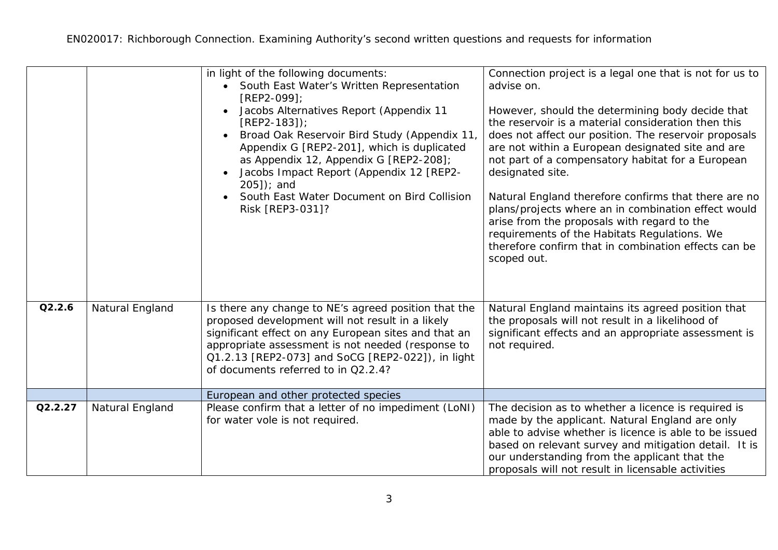|         |                 | in light of the following documents:<br>South East Water's Written Representation<br>$[REP2-099]$<br>Jacobs Alternatives Report (Appendix 11<br>$[REP2-183]$ ;<br>Broad Oak Reservoir Bird Study (Appendix 11,<br>Appendix G [REP2-201], which is duplicated<br>as Appendix 12, Appendix G [REP2-208];<br>Jacobs Impact Report (Appendix 12 [REP2-<br>$205$ ]); and<br>South East Water Document on Bird Collision<br>Risk [REP3-031]? | Connection project is a legal one that is not for us to<br>advise on.<br>However, should the determining body decide that<br>the reservoir is a material consideration then this<br>does not affect our position. The reservoir proposals<br>are not within a European designated site and are<br>not part of a compensatory habitat for a European<br>designated site.<br>Natural England therefore confirms that there are no<br>plans/projects where an in combination effect would<br>arise from the proposals with regard to the<br>requirements of the Habitats Regulations. We<br>therefore confirm that in combination effects can be<br>scoped out. |
|---------|-----------------|----------------------------------------------------------------------------------------------------------------------------------------------------------------------------------------------------------------------------------------------------------------------------------------------------------------------------------------------------------------------------------------------------------------------------------------|--------------------------------------------------------------------------------------------------------------------------------------------------------------------------------------------------------------------------------------------------------------------------------------------------------------------------------------------------------------------------------------------------------------------------------------------------------------------------------------------------------------------------------------------------------------------------------------------------------------------------------------------------------------|
| Q2.2.6  | Natural England | Is there any change to NE's agreed position that the<br>proposed development will not result in a likely<br>significant effect on any European sites and that an<br>appropriate assessment is not needed (response to<br>Q1.2.13 [REP2-073] and SoCG [REP2-022]), in light<br>of documents referred to in Q2.2.4?                                                                                                                      | Natural England maintains its agreed position that<br>the proposals will not result in a likelihood of<br>significant effects and an appropriate assessment is<br>not required.                                                                                                                                                                                                                                                                                                                                                                                                                                                                              |
|         |                 | European and other protected species                                                                                                                                                                                                                                                                                                                                                                                                   |                                                                                                                                                                                                                                                                                                                                                                                                                                                                                                                                                                                                                                                              |
| Q2.2.27 | Natural England | Please confirm that a letter of no impediment (LoNI)<br>for water vole is not required.                                                                                                                                                                                                                                                                                                                                                | The decision as to whether a licence is required is<br>made by the applicant. Natural England are only<br>able to advise whether is licence is able to be issued<br>based on relevant survey and mitigation detail. It is<br>our understanding from the applicant that the<br>proposals will not result in licensable activities                                                                                                                                                                                                                                                                                                                             |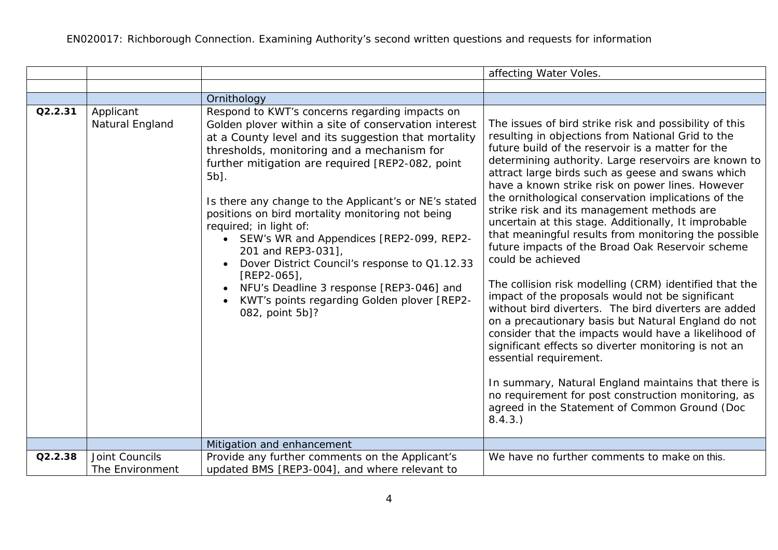|         |                                   |                                                                                                                                                                                                                                                                                                                                                                                                                                                                                                                                                                                                                                                                   | affecting Water Voles.                                                                                                                                                                                                                                                                                                                                                                                                                                                                                                                                                                                                                                                                                                                                                                                                                                                                                                                                                                                                                                                                                                                                                           |
|---------|-----------------------------------|-------------------------------------------------------------------------------------------------------------------------------------------------------------------------------------------------------------------------------------------------------------------------------------------------------------------------------------------------------------------------------------------------------------------------------------------------------------------------------------------------------------------------------------------------------------------------------------------------------------------------------------------------------------------|----------------------------------------------------------------------------------------------------------------------------------------------------------------------------------------------------------------------------------------------------------------------------------------------------------------------------------------------------------------------------------------------------------------------------------------------------------------------------------------------------------------------------------------------------------------------------------------------------------------------------------------------------------------------------------------------------------------------------------------------------------------------------------------------------------------------------------------------------------------------------------------------------------------------------------------------------------------------------------------------------------------------------------------------------------------------------------------------------------------------------------------------------------------------------------|
|         |                                   |                                                                                                                                                                                                                                                                                                                                                                                                                                                                                                                                                                                                                                                                   |                                                                                                                                                                                                                                                                                                                                                                                                                                                                                                                                                                                                                                                                                                                                                                                                                                                                                                                                                                                                                                                                                                                                                                                  |
|         |                                   | Ornithology                                                                                                                                                                                                                                                                                                                                                                                                                                                                                                                                                                                                                                                       |                                                                                                                                                                                                                                                                                                                                                                                                                                                                                                                                                                                                                                                                                                                                                                                                                                                                                                                                                                                                                                                                                                                                                                                  |
| Q2.2.31 | Applicant<br>Natural England      | Respond to KWT's concerns regarding impacts on<br>Golden plover within a site of conservation interest<br>at a County level and its suggestion that mortality<br>thresholds, monitoring and a mechanism for<br>further mitigation are required [REP2-082, point<br>5b].<br>Is there any change to the Applicant's or NE's stated<br>positions on bird mortality monitoring not being<br>required; in light of:<br>• SEW's WR and Appendices [REP2-099, REP2-<br>201 and REP3-031],<br>Dover District Council's response to Q1.12.33<br>$[REP2-065]$<br>NFU's Deadline 3 response [REP3-046] and<br>KWT's points regarding Golden plover [REP2-<br>082, point 5b]? | The issues of bird strike risk and possibility of this<br>resulting in objections from National Grid to the<br>future build of the reservoir is a matter for the<br>determining authority. Large reservoirs are known to<br>attract large birds such as geese and swans which<br>have a known strike risk on power lines. However<br>the ornithological conservation implications of the<br>strike risk and its management methods are<br>uncertain at this stage. Additionally, It improbable<br>that meaningful results from monitoring the possible<br>future impacts of the Broad Oak Reservoir scheme<br>could be achieved<br>The collision risk modelling (CRM) identified that the<br>impact of the proposals would not be significant<br>without bird diverters. The bird diverters are added<br>on a precautionary basis but Natural England do not<br>consider that the impacts would have a likelihood of<br>significant effects so diverter monitoring is not an<br>essential requirement.<br>In summary, Natural England maintains that there is<br>no requirement for post construction monitoring, as<br>agreed in the Statement of Common Ground (Doc<br>8.4.3.) |
|         |                                   | Mitigation and enhancement                                                                                                                                                                                                                                                                                                                                                                                                                                                                                                                                                                                                                                        |                                                                                                                                                                                                                                                                                                                                                                                                                                                                                                                                                                                                                                                                                                                                                                                                                                                                                                                                                                                                                                                                                                                                                                                  |
| Q2.2.38 | Joint Councils<br>The Environment | Provide any further comments on the Applicant's<br>updated BMS [REP3-004], and where relevant to                                                                                                                                                                                                                                                                                                                                                                                                                                                                                                                                                                  | We have no further comments to make on this.                                                                                                                                                                                                                                                                                                                                                                                                                                                                                                                                                                                                                                                                                                                                                                                                                                                                                                                                                                                                                                                                                                                                     |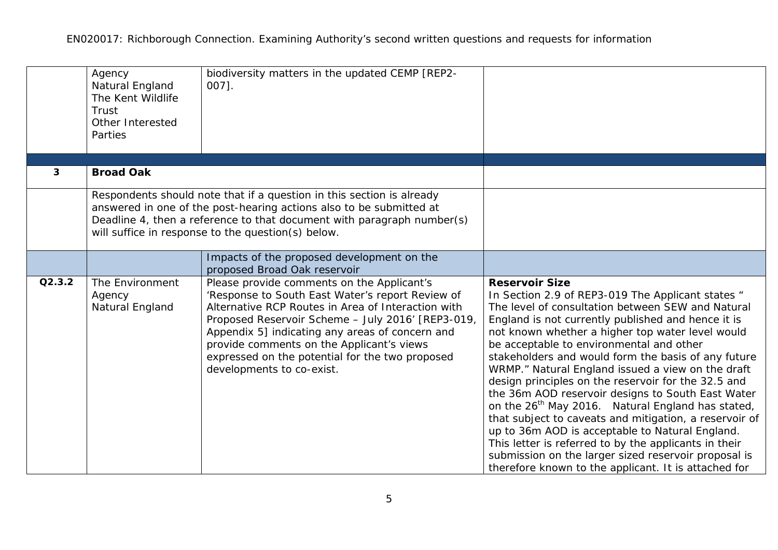|        | Agency<br>Natural England<br>The Kent Wildlife<br>Trust<br>Other Interested<br>Parties | biodiversity matters in the updated CEMP [REP2-<br>$007$ ].                                                                                                                                                                                                                                                                                                                               |                                                                                                                                                                                                                                                                                                                                                                                                                                                                                                                                                                                                                                                                                                                                                                                                                                                                      |
|--------|----------------------------------------------------------------------------------------|-------------------------------------------------------------------------------------------------------------------------------------------------------------------------------------------------------------------------------------------------------------------------------------------------------------------------------------------------------------------------------------------|----------------------------------------------------------------------------------------------------------------------------------------------------------------------------------------------------------------------------------------------------------------------------------------------------------------------------------------------------------------------------------------------------------------------------------------------------------------------------------------------------------------------------------------------------------------------------------------------------------------------------------------------------------------------------------------------------------------------------------------------------------------------------------------------------------------------------------------------------------------------|
| 3      | <b>Broad Oak</b>                                                                       |                                                                                                                                                                                                                                                                                                                                                                                           |                                                                                                                                                                                                                                                                                                                                                                                                                                                                                                                                                                                                                                                                                                                                                                                                                                                                      |
|        |                                                                                        |                                                                                                                                                                                                                                                                                                                                                                                           |                                                                                                                                                                                                                                                                                                                                                                                                                                                                                                                                                                                                                                                                                                                                                                                                                                                                      |
|        |                                                                                        | Respondents should note that if a question in this section is already<br>answered in one of the post-hearing actions also to be submitted at<br>Deadline 4, then a reference to that document with paragraph number(s)<br>will suffice in response to the question(s) below.                                                                                                              |                                                                                                                                                                                                                                                                                                                                                                                                                                                                                                                                                                                                                                                                                                                                                                                                                                                                      |
|        |                                                                                        | Impacts of the proposed development on the<br>proposed Broad Oak reservoir                                                                                                                                                                                                                                                                                                                |                                                                                                                                                                                                                                                                                                                                                                                                                                                                                                                                                                                                                                                                                                                                                                                                                                                                      |
| Q2.3.2 | The Environment<br>Agency<br>Natural England                                           | Please provide comments on the Applicant's<br>'Response to South East Water's report Review of<br>Alternative RCP Routes in Area of Interaction with<br>Proposed Reservoir Scheme - July 2016' [REP3-019,<br>Appendix 5] indicating any areas of concern and<br>provide comments on the Applicant's views<br>expressed on the potential for the two proposed<br>developments to co-exist. | <b>Reservoir Size</b><br>In Section 2.9 of REP3-019 The Applicant states "<br>The level of consultation between SEW and Natural<br>England is not currently published and hence it is<br>not known whether a higher top water level would<br>be acceptable to environmental and other<br>stakeholders and would form the basis of any future<br>WRMP." Natural England issued a view on the draft<br>design principles on the reservoir for the 32.5 and<br>the 36m AOD reservoir designs to South East Water<br>on the 26 <sup>th</sup> May 2016. Natural England has stated,<br>that subject to caveats and mitigation, a reservoir of<br>up to 36m AOD is acceptable to Natural England.<br>This letter is referred to by the applicants in their<br>submission on the larger sized reservoir proposal is<br>therefore known to the applicant. It is attached for |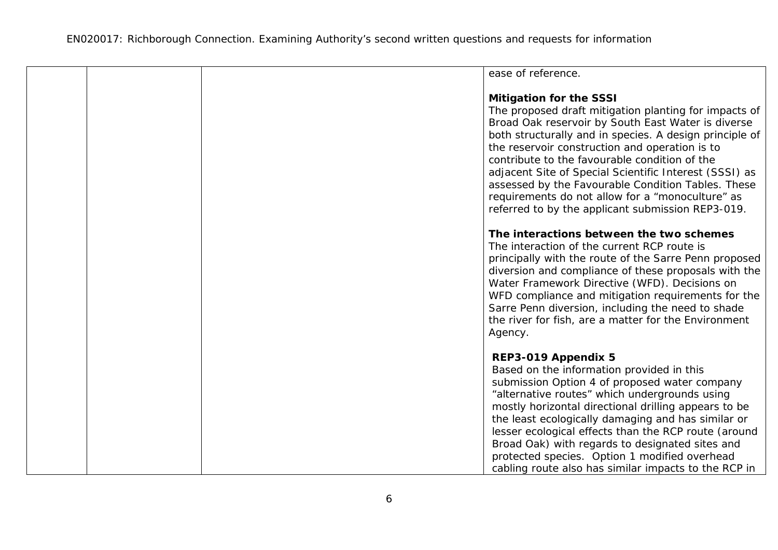|  | ease of reference.                                                                                        |  |
|--|-----------------------------------------------------------------------------------------------------------|--|
|  |                                                                                                           |  |
|  | <b>Mitigation for the SSSI</b>                                                                            |  |
|  | The proposed draft mitigation planting for impacts of                                                     |  |
|  | Broad Oak reservoir by South East Water is diverse                                                        |  |
|  | both structurally and in species. A design principle of<br>the reservoir construction and operation is to |  |
|  | contribute to the favourable condition of the                                                             |  |
|  | adjacent Site of Special Scientific Interest (SSSI) as                                                    |  |
|  | assessed by the Favourable Condition Tables. These                                                        |  |
|  | requirements do not allow for a "monoculture" as                                                          |  |
|  | referred to by the applicant submission REP3-019.                                                         |  |
|  |                                                                                                           |  |
|  | The interactions between the two schemes                                                                  |  |
|  | The interaction of the current RCP route is                                                               |  |
|  | principally with the route of the Sarre Penn proposed                                                     |  |
|  | diversion and compliance of these proposals with the                                                      |  |
|  | Water Framework Directive (WFD). Decisions on                                                             |  |
|  | WFD compliance and mitigation requirements for the                                                        |  |
|  | Sarre Penn diversion, including the need to shade<br>the river for fish, are a matter for the Environment |  |
|  | Agency.                                                                                                   |  |
|  |                                                                                                           |  |
|  | REP3-019 Appendix 5                                                                                       |  |
|  | Based on the information provided in this                                                                 |  |
|  | submission Option 4 of proposed water company                                                             |  |
|  | "alternative routes" which undergrounds using                                                             |  |
|  | mostly horizontal directional drilling appears to be                                                      |  |
|  | the least ecologically damaging and has similar or                                                        |  |
|  | lesser ecological effects than the RCP route (around                                                      |  |
|  | Broad Oak) with regards to designated sites and                                                           |  |
|  | protected species. Option 1 modified overhead                                                             |  |
|  | cabling route also has similar impacts to the RCP in                                                      |  |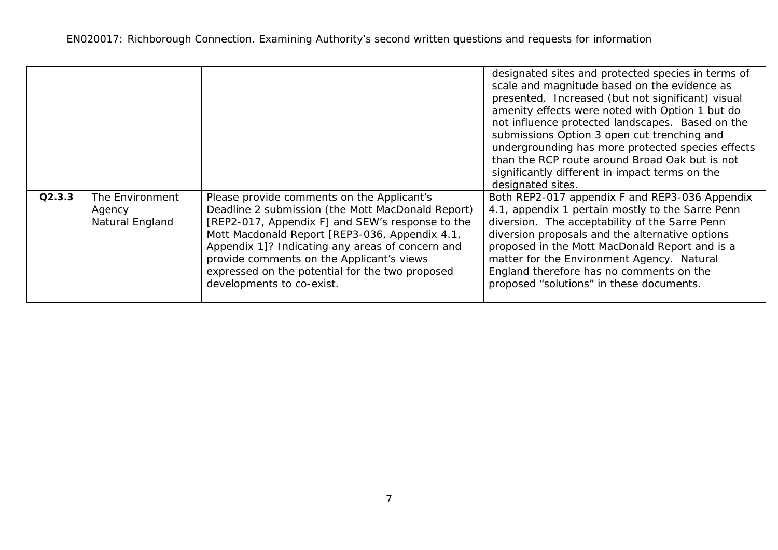|        |                                              |                                                                                                                                                                                                                                                                                                                                                                                        | designated sites and protected species in terms of<br>scale and magnitude based on the evidence as<br>presented. Increased (but not significant) visual<br>amenity effects were noted with Option 1 but do<br>not influence protected landscapes. Based on the<br>submissions Option 3 open cut trenching and<br>undergrounding has more protected species effects<br>than the RCP route around Broad Oak but is not<br>significantly different in impact terms on the<br>designated sites. |
|--------|----------------------------------------------|----------------------------------------------------------------------------------------------------------------------------------------------------------------------------------------------------------------------------------------------------------------------------------------------------------------------------------------------------------------------------------------|---------------------------------------------------------------------------------------------------------------------------------------------------------------------------------------------------------------------------------------------------------------------------------------------------------------------------------------------------------------------------------------------------------------------------------------------------------------------------------------------|
| Q2.3.3 | The Environment<br>Agency<br>Natural England | Please provide comments on the Applicant's<br>Deadline 2 submission (the Mott MacDonald Report)<br>[REP2-017, Appendix F] and SEW's response to the<br>Mott Macdonald Report [REP3-036, Appendix 4.1,<br>Appendix 1]? Indicating any areas of concern and<br>provide comments on the Applicant's views<br>expressed on the potential for the two proposed<br>developments to co-exist. | Both REP2-017 appendix F and REP3-036 Appendix<br>4.1, appendix 1 pertain mostly to the Sarre Penn<br>diversion. The acceptability of the Sarre Penn<br>diversion proposals and the alternative options<br>proposed in the Mott MacDonald Report and is a<br>matter for the Environment Agency. Natural<br>England therefore has no comments on the<br>proposed "solutions" in these documents.                                                                                             |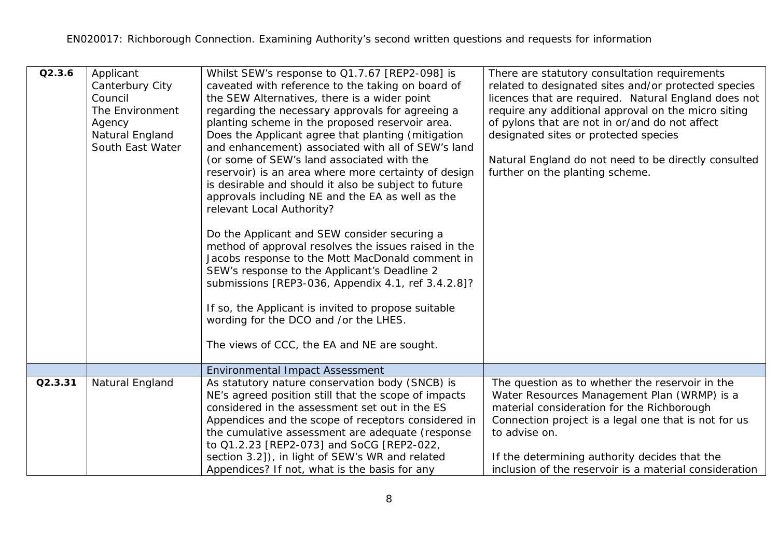| Q2.3.6  | Applicant<br>Canterbury City<br>Council<br>The Environment<br>Agency<br>Natural England<br>South East Water | Whilst SEW's response to Q1.7.67 [REP2-098] is<br>caveated with reference to the taking on board of<br>the SEW Alternatives, there is a wider point<br>regarding the necessary approvals for agreeing a<br>planting scheme in the proposed reservoir area.<br>Does the Applicant agree that planting (mitigation<br>and enhancement) associated with all of SEW's land<br>(or some of SEW's land associated with the<br>reservoir) is an area where more certainty of design<br>is desirable and should it also be subject to future<br>approvals including NE and the EA as well as the<br>relevant Local Authority?<br>Do the Applicant and SEW consider securing a<br>method of approval resolves the issues raised in the<br>Jacobs response to the Mott MacDonald comment in<br>SEW's response to the Applicant's Deadline 2<br>submissions [REP3-036, Appendix 4.1, ref 3.4.2.8]?<br>If so, the Applicant is invited to propose suitable<br>wording for the DCO and /or the LHES.<br>The views of CCC, the EA and NE are sought. | There are statutory consultation requirements<br>related to designated sites and/or protected species<br>licences that are required. Natural England does not<br>require any additional approval on the micro siting<br>of pylons that are not in or/and do not affect<br>designated sites or protected species<br>Natural England do not need to be directly consulted<br>further on the planting scheme. |
|---------|-------------------------------------------------------------------------------------------------------------|----------------------------------------------------------------------------------------------------------------------------------------------------------------------------------------------------------------------------------------------------------------------------------------------------------------------------------------------------------------------------------------------------------------------------------------------------------------------------------------------------------------------------------------------------------------------------------------------------------------------------------------------------------------------------------------------------------------------------------------------------------------------------------------------------------------------------------------------------------------------------------------------------------------------------------------------------------------------------------------------------------------------------------------|------------------------------------------------------------------------------------------------------------------------------------------------------------------------------------------------------------------------------------------------------------------------------------------------------------------------------------------------------------------------------------------------------------|
|         |                                                                                                             | <b>Environmental Impact Assessment</b>                                                                                                                                                                                                                                                                                                                                                                                                                                                                                                                                                                                                                                                                                                                                                                                                                                                                                                                                                                                                 |                                                                                                                                                                                                                                                                                                                                                                                                            |
| Q2.3.31 | Natural England                                                                                             | As statutory nature conservation body (SNCB) is<br>NE's agreed position still that the scope of impacts<br>considered in the assessment set out in the ES<br>Appendices and the scope of receptors considered in<br>the cumulative assessment are adequate (response<br>to Q1.2.23 [REP2-073] and SoCG [REP2-022,<br>section 3.2]), in light of SEW's WR and related<br>Appendices? If not, what is the basis for any                                                                                                                                                                                                                                                                                                                                                                                                                                                                                                                                                                                                                  | The question as to whether the reservoir in the<br>Water Resources Management Plan (WRMP) is a<br>material consideration for the Richborough<br>Connection project is a legal one that is not for us<br>to advise on.<br>If the determining authority decides that the<br>inclusion of the reservoir is a material consideration                                                                           |